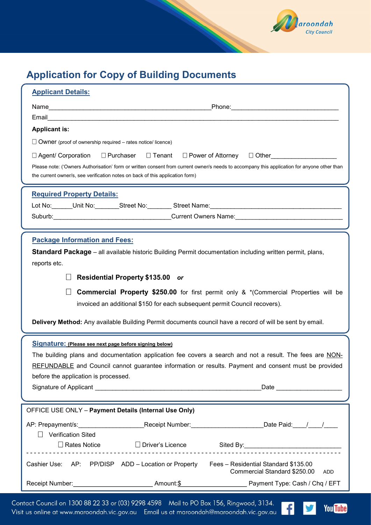

You Tube

V

# Application for Copy of Building Documents

| Please note: ('Owners Authorisation' form or written consent from current owner/s needs to accompany this application for anyone other than<br>the current owner/s, see verification notes on back of this application form)<br><b>Required Property Details:</b><br>Lot No:______Unit No:_______Street No:________Street Name:______________________<br><b>Package Information and Fees:</b><br><b>Standard Package</b> – all available historic Building Permit documentation including written permit, plans,<br>reports etc.<br><b>Residential Property \$135.00 or</b><br>$\Box$<br><b>Commercial Property \$250.00</b> for first permit only & *(Commercial Properties will be<br>$\Box$<br>invoiced an additional \$150 for each subsequent permit Council recovers).<br>Delivery Method: Any available Building Permit documents council have a record of will be sent by email.<br>Signature: (Please see next page before signing below)<br>The building plans and documentation application fee covers a search and not a result. The fees are NON-<br>REFUNDABLE and Council cannot guarantee information or results. Payment and consent must be provided<br>before the application is processed.<br>OFFICE USE ONLY - Payment Details (Internal Use Only)<br>AP: Prepayment/s:___________________________Receipt Number:________________________Date Paid:____/____/_____<br><b>Verification Sited</b><br>$\Box$<br>□ Rates Notice      □ Driver's Licence      Sited By: __________________________<br>Cashier Use: AP: PP/DISP ADD - Location or Property Fees - Residential Standard \$135.00<br>Commercial Standard \$250.00<br>ADD | <b>Applicant Details:</b><br>Email <b>Executive Contract of Contract Contract Contract Contract Contract Contract Contract Contract Contract Contract Contract Contract Contract Contract Contract Contract Contract Contract Contract Contract Contract Cont</b><br><b>Applicant is:</b><br>$\Box$ Owner (proof of ownership required – rates notice/ licence)<br>$\square$ Agent/ Corporation $\square$ Purchaser $\square$ Tenant $\square$ Power of Attorney $\square$ Other |  |  |
|-------------------------------------------------------------------------------------------------------------------------------------------------------------------------------------------------------------------------------------------------------------------------------------------------------------------------------------------------------------------------------------------------------------------------------------------------------------------------------------------------------------------------------------------------------------------------------------------------------------------------------------------------------------------------------------------------------------------------------------------------------------------------------------------------------------------------------------------------------------------------------------------------------------------------------------------------------------------------------------------------------------------------------------------------------------------------------------------------------------------------------------------------------------------------------------------------------------------------------------------------------------------------------------------------------------------------------------------------------------------------------------------------------------------------------------------------------------------------------------------------------------------------------------------------------------------------------------------------------------------------------------------------------|----------------------------------------------------------------------------------------------------------------------------------------------------------------------------------------------------------------------------------------------------------------------------------------------------------------------------------------------------------------------------------------------------------------------------------------------------------------------------------|--|--|
|                                                                                                                                                                                                                                                                                                                                                                                                                                                                                                                                                                                                                                                                                                                                                                                                                                                                                                                                                                                                                                                                                                                                                                                                                                                                                                                                                                                                                                                                                                                                                                                                                                                       |                                                                                                                                                                                                                                                                                                                                                                                                                                                                                  |  |  |
|                                                                                                                                                                                                                                                                                                                                                                                                                                                                                                                                                                                                                                                                                                                                                                                                                                                                                                                                                                                                                                                                                                                                                                                                                                                                                                                                                                                                                                                                                                                                                                                                                                                       |                                                                                                                                                                                                                                                                                                                                                                                                                                                                                  |  |  |
|                                                                                                                                                                                                                                                                                                                                                                                                                                                                                                                                                                                                                                                                                                                                                                                                                                                                                                                                                                                                                                                                                                                                                                                                                                                                                                                                                                                                                                                                                                                                                                                                                                                       |                                                                                                                                                                                                                                                                                                                                                                                                                                                                                  |  |  |
|                                                                                                                                                                                                                                                                                                                                                                                                                                                                                                                                                                                                                                                                                                                                                                                                                                                                                                                                                                                                                                                                                                                                                                                                                                                                                                                                                                                                                                                                                                                                                                                                                                                       |                                                                                                                                                                                                                                                                                                                                                                                                                                                                                  |  |  |
|                                                                                                                                                                                                                                                                                                                                                                                                                                                                                                                                                                                                                                                                                                                                                                                                                                                                                                                                                                                                                                                                                                                                                                                                                                                                                                                                                                                                                                                                                                                                                                                                                                                       |                                                                                                                                                                                                                                                                                                                                                                                                                                                                                  |  |  |
|                                                                                                                                                                                                                                                                                                                                                                                                                                                                                                                                                                                                                                                                                                                                                                                                                                                                                                                                                                                                                                                                                                                                                                                                                                                                                                                                                                                                                                                                                                                                                                                                                                                       |                                                                                                                                                                                                                                                                                                                                                                                                                                                                                  |  |  |
|                                                                                                                                                                                                                                                                                                                                                                                                                                                                                                                                                                                                                                                                                                                                                                                                                                                                                                                                                                                                                                                                                                                                                                                                                                                                                                                                                                                                                                                                                                                                                                                                                                                       |                                                                                                                                                                                                                                                                                                                                                                                                                                                                                  |  |  |

Contact Council on 1300 88 22 33 or (03) 9298 4598 Mail to PO Box 156, Ringwood, 3134. Contact Council on 1300 88 22 33 or (03) 9298 4598 Mail to PO Box 156, Ringwood, 3134.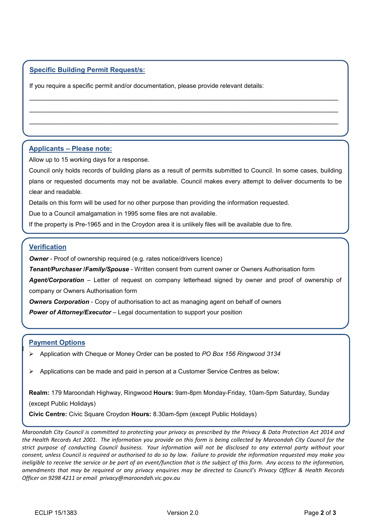# Specific Building Permit Request/s:

If you require a specific permit and/or documentation, please provide relevant details:

# Applicants – Please note:

Allow up to 15 working days for a response.

Council only holds records of building plans as a result of permits submitted to Council. In some cases, building plans or requested documents may not be available. Council makes every attempt to deliver documents to be clear and readable.

 $\mathcal{L}_\mathcal{L} = \{ \mathcal{L}_\mathcal{L} = \{ \mathcal{L}_\mathcal{L} = \{ \mathcal{L}_\mathcal{L} = \{ \mathcal{L}_\mathcal{L} = \{ \mathcal{L}_\mathcal{L} = \{ \mathcal{L}_\mathcal{L} = \{ \mathcal{L}_\mathcal{L} = \{ \mathcal{L}_\mathcal{L} = \{ \mathcal{L}_\mathcal{L} = \{ \mathcal{L}_\mathcal{L} = \{ \mathcal{L}_\mathcal{L} = \{ \mathcal{L}_\mathcal{L} = \{ \mathcal{L}_\mathcal{L} = \{ \mathcal{L}_\mathcal{$  $\_$  , and the set of the set of the set of the set of the set of the set of the set of the set of the set of the set of the set of the set of the set of the set of the set of the set of the set of the set of the set of th  $\mathcal{L}_\mathcal{L} = \{ \mathcal{L}_\mathcal{L} = \{ \mathcal{L}_\mathcal{L} = \{ \mathcal{L}_\mathcal{L} = \{ \mathcal{L}_\mathcal{L} = \{ \mathcal{L}_\mathcal{L} = \{ \mathcal{L}_\mathcal{L} = \{ \mathcal{L}_\mathcal{L} = \{ \mathcal{L}_\mathcal{L} = \{ \mathcal{L}_\mathcal{L} = \{ \mathcal{L}_\mathcal{L} = \{ \mathcal{L}_\mathcal{L} = \{ \mathcal{L}_\mathcal{L} = \{ \mathcal{L}_\mathcal{L} = \{ \mathcal{L}_\mathcal{$  $\mathcal{L}_\mathcal{L} = \mathcal{L}_\mathcal{L} = \mathcal{L}_\mathcal{L} = \mathcal{L}_\mathcal{L} = \mathcal{L}_\mathcal{L} = \mathcal{L}_\mathcal{L} = \mathcal{L}_\mathcal{L} = \mathcal{L}_\mathcal{L} = \mathcal{L}_\mathcal{L} = \mathcal{L}_\mathcal{L} = \mathcal{L}_\mathcal{L} = \mathcal{L}_\mathcal{L} = \mathcal{L}_\mathcal{L} = \mathcal{L}_\mathcal{L} = \mathcal{L}_\mathcal{L} = \mathcal{L}_\mathcal{L} = \mathcal{L}_\mathcal{L}$ 

Details on this form will be used for no other purpose than providing the information requested.

Due to a Council amalgamation in 1995 some files are not available.

If the property is Pre-1965 and in the Croydon area it is unlikely files will be available due to fire.

# **Verification**

**Owner** - Proof of ownership required (e.g. rates notice/drivers licence)

Tenant/Purchaser /Family/Spouse - Written consent from current owner or Owners Authorisation form

Agent/Corporation – Letter of request on company letterhead signed by owner and proof of ownership of company or Owners Authorisation form

**Owners Corporation** - Copy of authorisation to act as managing agent on behalf of owners

**Power of Attorney/Executor** – Legal documentation to support your position

### Payment Options

I

- $\triangleright$  Application with Cheque or Money Order can be posted to PO Box 156 Ringwood 3134
- Applications can be made and paid in person at a Customer Service Centres as below;

Realm: 179 Maroondah Highway, Ringwood Hours: 9am-8pm Monday-Friday, 10am-5pm Saturday, Sunday (except Public Holidays)

Civic Centre: Civic Square Croydon Hours: 8.30am-5pm (except Public Holidays)

Maroondah City Council is committed to protecting your privacy as prescribed by the Privacy & Data Protection Act 2014 and the Health Records Act 2001. The information you provide on this form is being collected by Maroondah City Council for the strict purpose of conducting Council business. Your information will not be disclosed to any external party without your consent, unless Council is required or authorised to do so by law. Failure to provide the information requested may make you ineligible to receive the service or be part of an event/function that is the subject of this form. Any access to the information, amendments that may be required or any privacy enquiries may be directed to Council's Privacy Officer & Health Records Officer on 9298 4211 or email privacy@maroondah.vic.gov.au